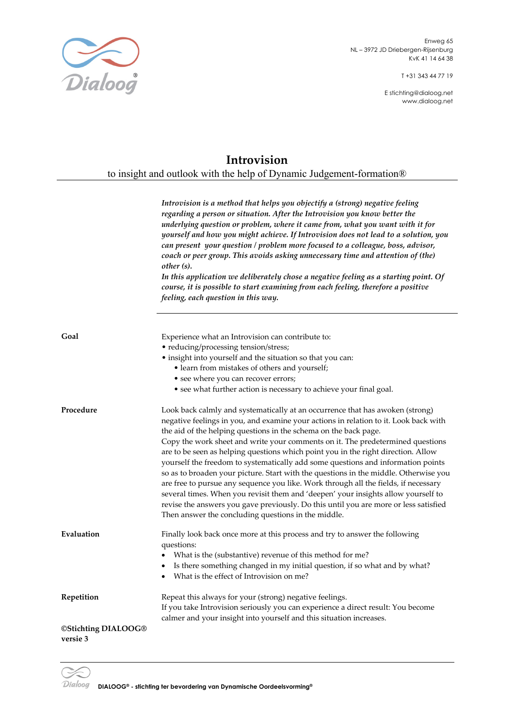

T +31 343 44 77 19

E stichting@dialoog.net www.dialoog.net

## **Introvision**

to insight and outlook with the help of Dynamic Judgement-formation®

*Introvision is a method that helps you objectify a (strong) negative feeling regarding a person or situation. After the Introvision you know better the underlying question or problem, where it came from, what you want with it for yourself and how you might achieve. If Introvision does not lead to a solution, you can present your question / problem more focused to a colleague, boss, advisor, coach or peer group. This avoids asking unnecessary time and attention of (the) other (s).*

*In this application we deliberately chose a negative feeling as a starting point. Of course, it is possible to start examining from each feeling, therefore a positive feeling, each question in this way.*

| Goal                            | Experience what an Introvision can contribute to:<br>• reducing/processing tension/stress;<br>• insight into yourself and the situation so that you can:<br>• learn from mistakes of others and yourself;<br>• see where you can recover errors;<br>• see what further action is necessary to achieve your final goal.                                                                                                                                                                                                                                                                                                                                                                                                                                                                                                                                                                                                  |
|---------------------------------|-------------------------------------------------------------------------------------------------------------------------------------------------------------------------------------------------------------------------------------------------------------------------------------------------------------------------------------------------------------------------------------------------------------------------------------------------------------------------------------------------------------------------------------------------------------------------------------------------------------------------------------------------------------------------------------------------------------------------------------------------------------------------------------------------------------------------------------------------------------------------------------------------------------------------|
| Procedure                       | Look back calmly and systematically at an occurrence that has awoken (strong)<br>negative feelings in you, and examine your actions in relation to it. Look back with<br>the aid of the helping questions in the schema on the back page.<br>Copy the work sheet and write your comments on it. The predetermined questions<br>are to be seen as helping questions which point you in the right direction. Allow<br>yourself the freedom to systematically add some questions and information points<br>so as to broaden your picture. Start with the questions in the middle. Otherwise you<br>are free to pursue any sequence you like. Work through all the fields, if necessary<br>several times. When you revisit them and 'deepen' your insights allow yourself to<br>revise the answers you gave previously. Do this until you are more or less satisfied<br>Then answer the concluding questions in the middle. |
| Evaluation                      | Finally look back once more at this process and try to answer the following<br>questions:<br>What is the (substantive) revenue of this method for me?<br>Is there something changed in my initial question, if so what and by what?<br>$\bullet$<br>What is the effect of Introvision on me?                                                                                                                                                                                                                                                                                                                                                                                                                                                                                                                                                                                                                            |
| Repetition                      | Repeat this always for your (strong) negative feelings.<br>If you take Introvision seriously you can experience a direct result: You become<br>calmer and your insight into yourself and this situation increases.                                                                                                                                                                                                                                                                                                                                                                                                                                                                                                                                                                                                                                                                                                      |
| ©Stichting DIALOOG®<br>versie 3 |                                                                                                                                                                                                                                                                                                                                                                                                                                                                                                                                                                                                                                                                                                                                                                                                                                                                                                                         |

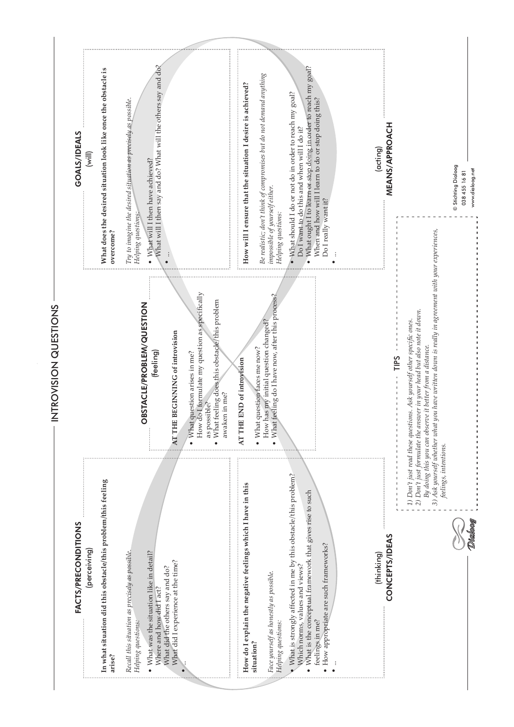What will I then say and do? What will the others say and do? What will I then say and do? What will the others say and do? What ought I to learn or stop doing in order to reach my goal? • What ought I to learn or stop doing in order to reach my goal? What does the desired situation look like once the obstacle is **What does the desired situation look like once the obstacle is**  Be realistic; don't think of compromises but do not demand anything *Be realistic; don't think of compromises but do not demand anything* How will I ensure that the situation I desire is achieved? **How will I ensure that the situation I desire is achieved?**  $\bullet$  What should I do or not do in order to reach my goal?  $\bullet$  What should I do or not do in order to reach my goal? When and how will I learn to do or stop doing this? Try to imagine the desired situation as precisely as possible. When and how will I learn to do or stop doing this? *Try to imagine the desired situation as precisely as possible.* **MEANS/APPROACH** Do I want to do this and when will I do it? MEANS/APPROACH Do I want to do this and when will I do it? GOALS/IDEALS GOALS/IDEALS (acting) (will)  $\bullet$  What will I then have achieved?  $\bullet\,$  What will I then have achieved? **© Stichting Dialoog** © Stichting Dialoog www.dialoog.net 038 455 16 81 www.dialoog.net038 455 16 81 impossible of yourself either. *impossible of yourself either.* Do I really want it? Do I really want it? Helping questions: Helping questions: *Helping questions: Helping questions:* 3) Ask yourself whether what you have written down is really in agreement with your experiences, *3) Ask yourself whether what you have written down is really in agreement with your experiences,* overcome? **overcome?** • ... • ... How do I formulate my question as specifically How do I formulate my question as specifically What feeling do I have now, after this process? • What feeling do I have now, after this process? What feeling does this obstacle/this problem • What feeling does this obstacle/this problem OBSTACLE/PROBLEM/QUESTION OBSTACLE/PROBLEM/QUESTION 2) Don't just formulate the answer in your head but also note it down. *2) Don't just formulate the answer in your head but also note it down.* 1) Don't just read these questions. Ask yourself other specific ones. How has my initial question changed? How has my initial question changed? *1) Don't just read these questions. Ask yourself other specifi c ones.* AT THE BEGINNING of introvision **AT THE BEGINNING of introvision** By doing this you can observe it better from a distance. What question faces me now? *By doing this you can observe it better from a distance.*  $\bullet$  What question faces me now? (feeling) What question arises in me?  $\bullet$  What question arises in me? TIPS AT THE END of introvision **AT THE END of introvision** awaken in me? awaken in me? as possible? as possible? feelings, intentions. *feelings, intentions.* What is strongly affected in me by this obstacle/this problem? • What is strongly affected in me by this obstacle/this problem? In what situation did this obstacle/this problem/this feeling **In what situation did this obstacle/this problem/this feeling**  How do I explain the negative feelings which I have in this **How do I explain the negative feelings which I have in this** What is the conceptual framework that gives rise to such • What is the conceptual framework that gives rise to such FACTS/PRECONDITIONS FACTS/PRECONDITIONS CONCEPTS/IDEAS CONCEPTS/IDEAS · How appropriate are such frameworks? • How appropriate are such frameworks? perceiving) (perceiving) (thinking) Recall this situation as precisely as possible *Recall this situation as precisely as possible.* • What was the situation like in detail? • What was the situation like in detail? What did I experience at the time? What did I experience at the time? Which norms, values and views? Which norms, values and views? What did the others say and do? What did the others say and do? Face yourself as honestly as possible. *Face yourself as honestly as possible.* Where and how did I act? Where and how did I act? feelings in me? Helping questions: Helping questions: feelings in me? *Helping questions: Helping questions:* situation? **situation? arise?** • ... • ...

INTROVISION QUESTIONS

INTROVISION QUESTIONS